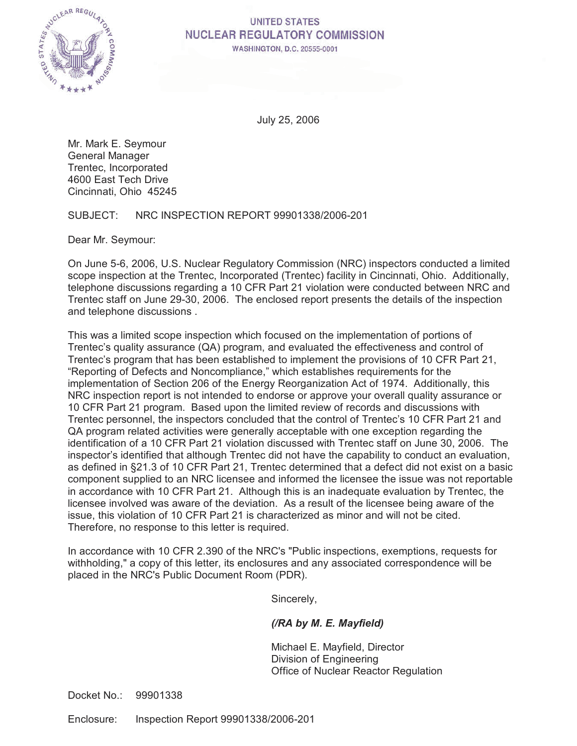

# **UNITED STATES NUCLEAR REGULATORY COMMISSION**

WASHINGTON, D.C. 20555-0001

July 25, 2006

Mr. Mark E. Seymour General Manager Trentec, Incorporated 4600 East Tech Drive Cincinnati, Ohio 45245

SUBJECT: NRC INSPECTION REPORT 99901338/2006-201

Dear Mr. Seymour:

On June 5-6, 2006, U.S. Nuclear Regulatory Commission (NRC) inspectors conducted a limited scope inspection at the Trentec, Incorporated (Trentec) facility in Cincinnati, Ohio. Additionally, telephone discussions regarding a 10 CFR Part 21 violation were conducted between NRC and Trentec staff on June 29-30, 2006. The enclosed report presents the details of the inspection and telephone discussions .

This was a limited scope inspection which focused on the implementation of portions of Trentec's quality assurance (QA) program, and evaluated the effectiveness and control of Trentec's program that has been established to implement the provisions of 10 CFR Part 21, "Reporting of Defects and Noncompliance," which establishes requirements for the implementation of Section 206 of the Energy Reorganization Act of 1974. Additionally, this NRC inspection report is not intended to endorse or approve your overall quality assurance or 10 CFR Part 21 program. Based upon the limited review of records and discussions with Trentec personnel, the inspectors concluded that the control of Trentec's 10 CFR Part 21 and QA program related activities were generally acceptable with one exception regarding the identification of a 10 CFR Part 21 violation discussed with Trentec staff on June 30, 2006. The inspector's identified that although Trentec did not have the capability to conduct an evaluation, as defined in §21.3 of 10 CFR Part 21, Trentec determined that a defect did not exist on a basic component supplied to an NRC licensee and informed the licensee the issue was not reportable in accordance with 10 CFR Part 21. Although this is an inadequate evaluation by Trentec, the licensee involved was aware of the deviation. As a result of the licensee being aware of the issue, this violation of 10 CFR Part 21 is characterized as minor and will not be cited. Therefore, no response to this letter is required.

In accordance with 10 CFR 2.390 of the NRC's "Public inspections, exemptions, requests for withholding," a copy of this letter, its enclosures and any associated correspondence will be placed in the NRC's Public Document Room (PDR).

Sincerely,

## *(/RA by M. E. Mayfield)*

Michael E. Mayfield, Director Division of Engineering Office of Nuclear Reactor Regulation

Docket No.: 99901338

Enclosure: Inspection Report 99901338/2006-201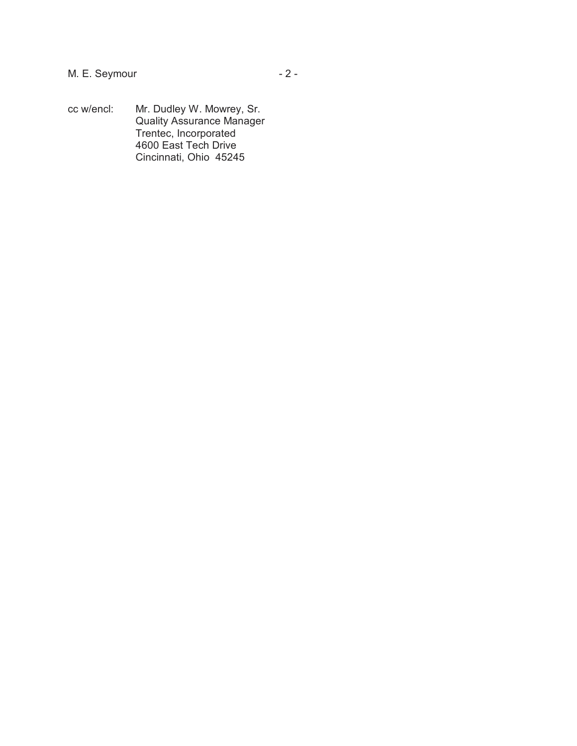cc w/encl: Mr. Dudley W. Mowrey, Sr. Quality Assurance Manager Trentec, Incorporated 4600 East Tech Drive Cincinnati, Ohio 45245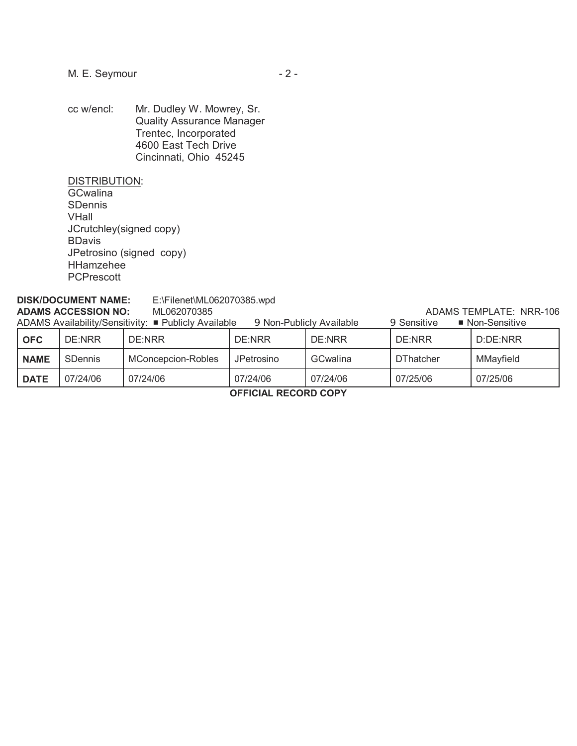cc w/encl: Mr. Dudley W. Mowrey, Sr. Quality Assurance Manager Trentec, Incorporated 4600 East Tech Drive Cincinnati, Ohio 45245

DISTRIBUTION:

**GCwalina** SDennis VHall JCrutchley(signed copy) BDavis JPetrosino (signed copy) HHamzehee **PCPrescott** 

## **DISK/DOCUMENT NAME:** E:\Filenet\ML062070385.wpd **ADAMS ACCESSION NO:** ML062070385 ADAMS TEMPLATE: NRR-106

| ADAMS Availability/Sensitivity: ■ Publicly Available<br>9 Non-Publicly Available<br>9 Sensitive<br>■ Non-Sensitive |                |                    |            |                 |                  |           |  |  |
|--------------------------------------------------------------------------------------------------------------------|----------------|--------------------|------------|-----------------|------------------|-----------|--|--|
| <b>OFC</b>                                                                                                         | DE:NRR         | DE:NRR             | DE:NRR     | DE:NRR          | DE:NRR           | D:DE:NRR  |  |  |
| <b>NAME</b>                                                                                                        | <b>SDennis</b> | MConcepcion-Robles | JPetrosino | <b>GCwalina</b> | <b>DThatcher</b> | MMayfield |  |  |
| <b>DATE</b>                                                                                                        | 07/24/06       | 07/24/06           | 07/24/06   | 07/24/06        | 07/25/06         | 07/25/06  |  |  |

**OFFICIAL RECORD COPY**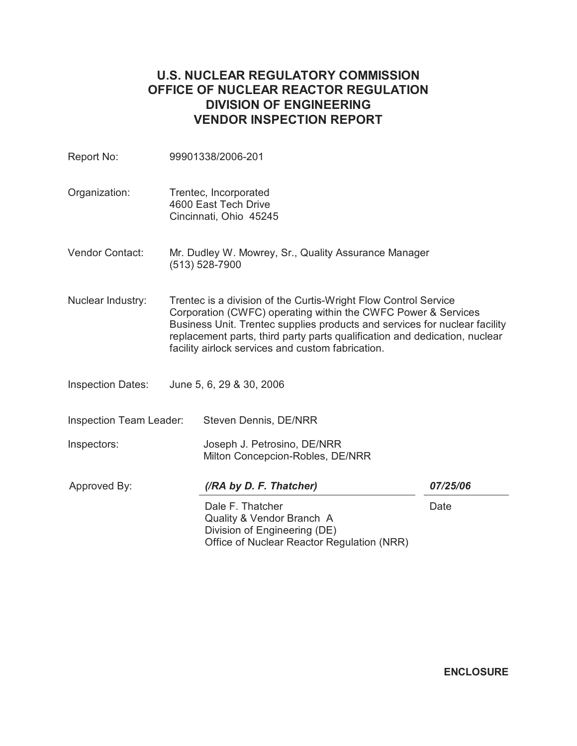# **U.S. NUCLEAR REGULATORY COMMISSION OFFICE OF NUCLEAR REACTOR REGULATION DIVISION OF ENGINEERING VENDOR INSPECTION REPORT**

| Report No:               |  | 99901338/2006-201                                                                                                                                                                                                                                                                                                                                 |          |  |  |
|--------------------------|--|---------------------------------------------------------------------------------------------------------------------------------------------------------------------------------------------------------------------------------------------------------------------------------------------------------------------------------------------------|----------|--|--|
| Organization:            |  | Trentec, Incorporated<br>4600 East Tech Drive<br>Cincinnati, Ohio 45245                                                                                                                                                                                                                                                                           |          |  |  |
| Vendor Contact:          |  | Mr. Dudley W. Mowrey, Sr., Quality Assurance Manager<br>(513) 528-7900                                                                                                                                                                                                                                                                            |          |  |  |
| Nuclear Industry:        |  | Trentec is a division of the Curtis-Wright Flow Control Service<br>Corporation (CWFC) operating within the CWFC Power & Services<br>Business Unit. Trentec supplies products and services for nuclear facility<br>replacement parts, third party parts qualification and dedication, nuclear<br>facility airlock services and custom fabrication. |          |  |  |
| <b>Inspection Dates:</b> |  | June 5, 6, 29 & 30, 2006                                                                                                                                                                                                                                                                                                                          |          |  |  |
| Inspection Team Leader:  |  | Steven Dennis, DE/NRR                                                                                                                                                                                                                                                                                                                             |          |  |  |
| Inspectors:              |  | Joseph J. Petrosino, DE/NRR<br>Milton Concepcion-Robles, DE/NRR                                                                                                                                                                                                                                                                                   |          |  |  |
| Approved By:             |  | (/RA by D. F. Thatcher)                                                                                                                                                                                                                                                                                                                           | 07/25/06 |  |  |
|                          |  | Dale F. Thatcher<br>Quality & Vendor Branch A<br>Division of Engineering (DE)<br>Office of Nuclear Reactor Regulation (NRR)                                                                                                                                                                                                                       | Date     |  |  |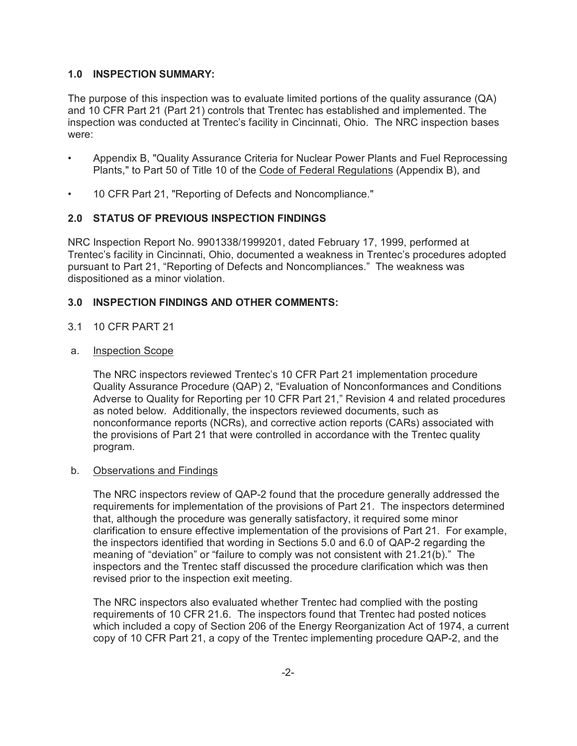### **1.0 INSPECTION SUMMARY:**

The purpose of this inspection was to evaluate limited portions of the quality assurance (QA) and 10 CFR Part 21 (Part 21) controls that Trentec has established and implemented. The inspection was conducted at Trentec's facility in Cincinnati, Ohio. The NRC inspection bases were:

- Appendix B, "Quality Assurance Criteria for Nuclear Power Plants and Fuel Reprocessing Plants," to Part 50 of Title 10 of the Code of Federal Regulations (Appendix B), and
- 10 CFR Part 21, "Reporting of Defects and Noncompliance."

## **2.0 STATUS OF PREVIOUS INSPECTION FINDINGS**

NRC Inspection Report No. 9901338/1999201, dated February 17, 1999, performed at Trentec's facility in Cincinnati, Ohio, documented a weakness in Trentec's procedures adopted pursuant to Part 21, "Reporting of Defects and Noncompliances." The weakness was dispositioned as a minor violation.

## **3.0 INSPECTION FINDINGS AND OTHER COMMENTS:**

- 3.1 10 CFR PART 21
- a. Inspection Scope

The NRC inspectors reviewed Trentec's 10 CFR Part 21 implementation procedure Quality Assurance Procedure (QAP) 2, "Evaluation of Nonconformances and Conditions Adverse to Quality for Reporting per 10 CFR Part 21," Revision 4 and related procedures as noted below. Additionally, the inspectors reviewed documents, such as nonconformance reports (NCRs), and corrective action reports (CARs) associated with the provisions of Part 21 that were controlled in accordance with the Trentec quality program.

#### b. Observations and Findings

The NRC inspectors review of QAP-2 found that the procedure generally addressed the requirements for implementation of the provisions of Part 21. The inspectors determined that, although the procedure was generally satisfactory, it required some minor clarification to ensure effective implementation of the provisions of Part 21. For example, the inspectors identified that wording in Sections 5.0 and 6.0 of QAP-2 regarding the meaning of "deviation" or "failure to comply was not consistent with 21.21(b)." The inspectors and the Trentec staff discussed the procedure clarification which was then revised prior to the inspection exit meeting.

The NRC inspectors also evaluated whether Trentec had complied with the posting requirements of 10 CFR 21.6. The inspectors found that Trentec had posted notices which included a copy of Section 206 of the Energy Reorganization Act of 1974, a current copy of 10 CFR Part 21, a copy of the Trentec implementing procedure QAP-2, and the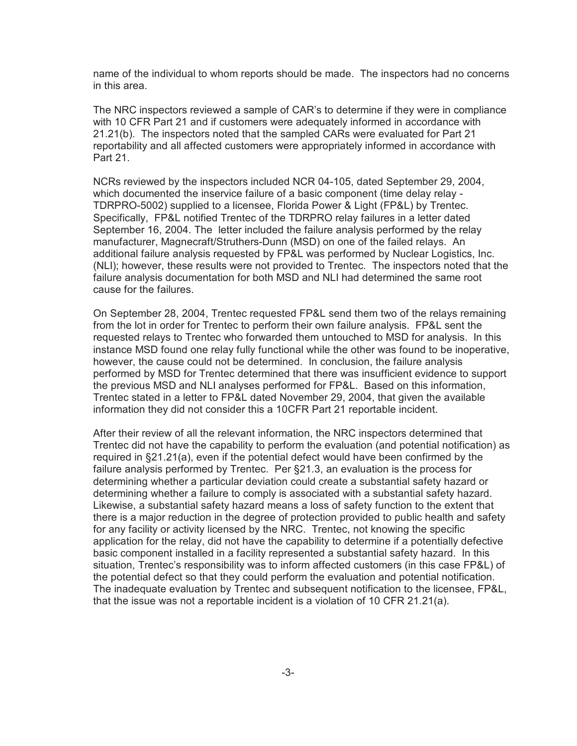name of the individual to whom reports should be made. The inspectors had no concerns in this area.

The NRC inspectors reviewed a sample of CAR's to determine if they were in compliance with 10 CFR Part 21 and if customers were adequately informed in accordance with 21.21(b). The inspectors noted that the sampled CARs were evaluated for Part 21 reportability and all affected customers were appropriately informed in accordance with Part 21.

NCRs reviewed by the inspectors included NCR 04-105, dated September 29, 2004, which documented the inservice failure of a basic component (time delay relay - TDRPRO-5002) supplied to a licensee, Florida Power & Light (FP&L) by Trentec. Specifically, FP&L notified Trentec of the TDRPRO relay failures in a letter dated September 16, 2004. The letter included the failure analysis performed by the relay manufacturer, Magnecraft/Struthers-Dunn (MSD) on one of the failed relays. An additional failure analysis requested by FP&L was performed by Nuclear Logistics, Inc. (NLI); however, these results were not provided to Trentec. The inspectors noted that the failure analysis documentation for both MSD and NLI had determined the same root cause for the failures.

On September 28, 2004, Trentec requested FP&L send them two of the relays remaining from the lot in order for Trentec to perform their own failure analysis. FP&L sent the requested relays to Trentec who forwarded them untouched to MSD for analysis. In this instance MSD found one relay fully functional while the other was found to be inoperative, however, the cause could not be determined. In conclusion, the failure analysis performed by MSD for Trentec determined that there was insufficient evidence to support the previous MSD and NLI analyses performed for FP&L. Based on this information, Trentec stated in a letter to FP&L dated November 29, 2004, that given the available information they did not consider this a 10CFR Part 21 reportable incident.

After their review of all the relevant information, the NRC inspectors determined that Trentec did not have the capability to perform the evaluation (and potential notification) as required in §21.21(a), even if the potential defect would have been confirmed by the failure analysis performed by Trentec. Per §21.3, an evaluation is the process for determining whether a particular deviation could create a substantial safety hazard or determining whether a failure to comply is associated with a substantial safety hazard. Likewise, a substantial safety hazard means a loss of safety function to the extent that there is a major reduction in the degree of protection provided to public health and safety for any facility or activity licensed by the NRC. Trentec, not knowing the specific application for the relay, did not have the capability to determine if a potentially defective basic component installed in a facility represented a substantial safety hazard. In this situation, Trentec's responsibility was to inform affected customers (in this case FP&L) of the potential defect so that they could perform the evaluation and potential notification. The inadequate evaluation by Trentec and subsequent notification to the licensee, FP&L, that the issue was not a reportable incident is a violation of 10 CFR 21.21(a).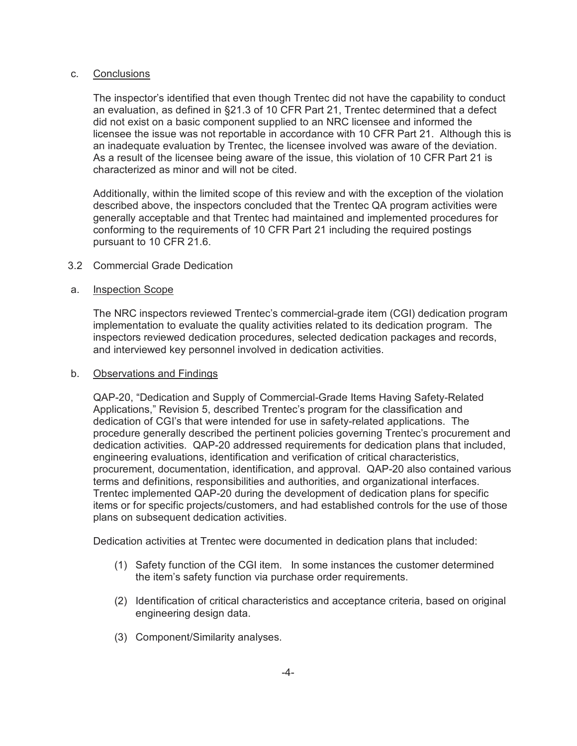#### c. Conclusions

The inspector's identified that even though Trentec did not have the capability to conduct an evaluation, as defined in §21.3 of 10 CFR Part 21, Trentec determined that a defect did not exist on a basic component supplied to an NRC licensee and informed the licensee the issue was not reportable in accordance with 10 CFR Part 21. Although this is an inadequate evaluation by Trentec, the licensee involved was aware of the deviation. As a result of the licensee being aware of the issue, this violation of 10 CFR Part 21 is characterized as minor and will not be cited.

Additionally, within the limited scope of this review and with the exception of the violation described above, the inspectors concluded that the Trentec QA program activities were generally acceptable and that Trentec had maintained and implemented procedures for conforming to the requirements of 10 CFR Part 21 including the required postings pursuant to 10 CFR 21.6.

#### 3.2 Commercial Grade Dedication

#### a. Inspection Scope

The NRC inspectors reviewed Trentec's commercial-grade item (CGI) dedication program implementation to evaluate the quality activities related to its dedication program. The inspectors reviewed dedication procedures, selected dedication packages and records, and interviewed key personnel involved in dedication activities.

#### b. Observations and Findings

QAP-20, "Dedication and Supply of Commercial-Grade Items Having Safety-Related Applications," Revision 5, described Trentec's program for the classification and dedication of CGI's that were intended for use in safety-related applications. The procedure generally described the pertinent policies governing Trentec's procurement and dedication activities. QAP-20 addressed requirements for dedication plans that included, engineering evaluations, identification and verification of critical characteristics, procurement, documentation, identification, and approval. QAP-20 also contained various terms and definitions, responsibilities and authorities, and organizational interfaces. Trentec implemented QAP-20 during the development of dedication plans for specific items or for specific projects/customers, and had established controls for the use of those plans on subsequent dedication activities.

Dedication activities at Trentec were documented in dedication plans that included:

- (1) Safety function of the CGI item. In some instances the customer determined the item's safety function via purchase order requirements.
- (2) Identification of critical characteristics and acceptance criteria, based on original engineering design data.
- (3) Component/Similarity analyses.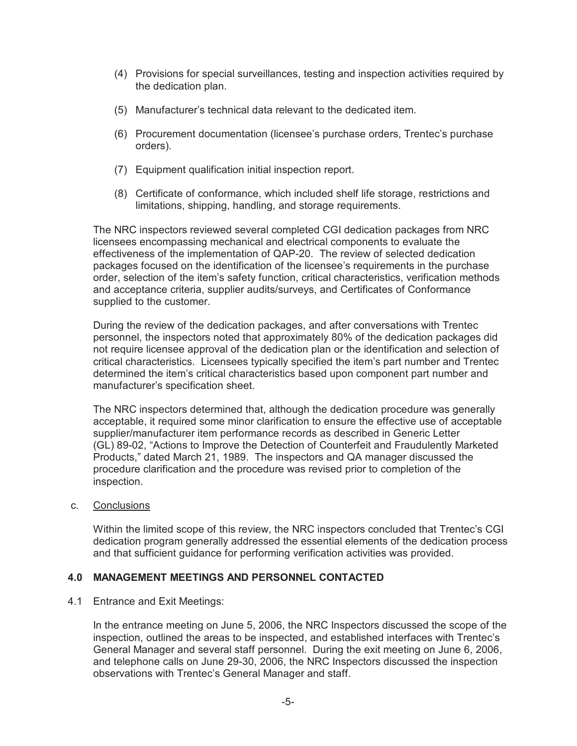- (4) Provisions for special surveillances, testing and inspection activities required by the dedication plan.
- (5) Manufacturer's technical data relevant to the dedicated item.
- (6) Procurement documentation (licensee's purchase orders, Trentec's purchase orders).
- (7) Equipment qualification initial inspection report.
- (8) Certificate of conformance, which included shelf life storage, restrictions and limitations, shipping, handling, and storage requirements.

The NRC inspectors reviewed several completed CGI dedication packages from NRC licensees encompassing mechanical and electrical components to evaluate the effectiveness of the implementation of QAP-20. The review of selected dedication packages focused on the identification of the licensee's requirements in the purchase order, selection of the item's safety function, critical characteristics, verification methods and acceptance criteria, supplier audits/surveys, and Certificates of Conformance supplied to the customer.

During the review of the dedication packages, and after conversations with Trentec personnel, the inspectors noted that approximately 80% of the dedication packages did not require licensee approval of the dedication plan or the identification and selection of critical characteristics. Licensees typically specified the item's part number and Trentec determined the item's critical characteristics based upon component part number and manufacturer's specification sheet.

The NRC inspectors determined that, although the dedication procedure was generally acceptable, it required some minor clarification to ensure the effective use of acceptable supplier/manufacturer item performance records as described in Generic Letter (GL) 89-02, "Actions to Improve the Detection of Counterfeit and Fraudulently Marketed Products," dated March 21, 1989. The inspectors and QA manager discussed the procedure clarification and the procedure was revised prior to completion of the inspection.

## c. Conclusions

Within the limited scope of this review, the NRC inspectors concluded that Trentec's CGI dedication program generally addressed the essential elements of the dedication process and that sufficient guidance for performing verification activities was provided.

## **4.0 MANAGEMENT MEETINGS AND PERSONNEL CONTACTED**

#### 4.1 Entrance and Exit Meetings:

In the entrance meeting on June 5, 2006, the NRC Inspectors discussed the scope of the inspection, outlined the areas to be inspected, and established interfaces with Trentec's General Manager and several staff personnel. During the exit meeting on June 6, 2006, and telephone calls on June 29-30, 2006, the NRC Inspectors discussed the inspection observations with Trentec's General Manager and staff.